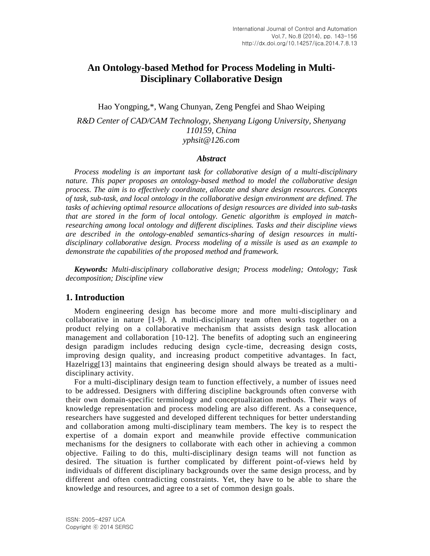# **An Ontology-based Method for Process Modeling in Multi-Disciplinary Collaborative Design**

Hao Yongping,\*, Wang Chunyan, Zeng Pengfei and Shao Weiping

*R&D Center of CAD/CAM Technology, Shenyang Ligong University, Shenyang 110159, China yphsit@126.com*

#### *Abstract*

*Process modeling is an important task for collaborative design of a multi-disciplinary nature. This paper proposes an ontology-based method to model the collaborative design process. The aim is to effectively coordinate, allocate and share design resources. Concepts of task, sub-task, and local ontology in the collaborative design environment are defined. The tasks of achieving optimal resource allocations of design resources are divided into sub-tasks that are stored in the form of local ontology. Genetic algorithm is employed in matchresearching among local ontology and different disciplines. Tasks and their discipline views are described in the ontology-enabled semantics-sharing of design resources in multidisciplinary collaborative design. Process modeling of a missile is used as an example to demonstrate the capabilities of the proposed method and framework.*

*Keywords: Multi-disciplinary collaborative design; Process modeling; Ontology; Task decomposition; Discipline view*

### **1. Introduction**

Modern engineering design has become more and more multi-disciplinary and collaborative in nature [1-9]. A multi-disciplinary team often works together on a product relying on a collaborative mechanism that assists design task allocation management and collaboration [10-12]. The benefits of adopting such an engineering design paradigm includes reducing design cycle-time, decreasing design costs, improving design quality, and increasing product competitive advantages. In fact, Hazelrigg[13] maintains that engineering design should always be treated as a multidisciplinary activity.

For a multi-disciplinary design team to function effectively, a number of issues need to be addressed. Designers with differing discipline backgrounds often converse with their own domain-specific terminology and conceptualization methods. Their ways of knowledge representation and process modeling are also different. As a consequence, researchers have suggested and developed different techniques for better understanding and collaboration among multi-disciplinary team members. The key is to respect the expertise of a domain export and meanwhile provide effective communication mechanisms for the designers to collaborate with each other in achieving a common objective. Failing to do this, multi-disciplinary design teams will not function as desired. The situation is further complicated by different point-of-views held by individuals of different disciplinary backgrounds over the same design process, and by different and often contradicting constraints. Yet, they have to be able to share the knowledge and resources, and agree to a set of common design goals.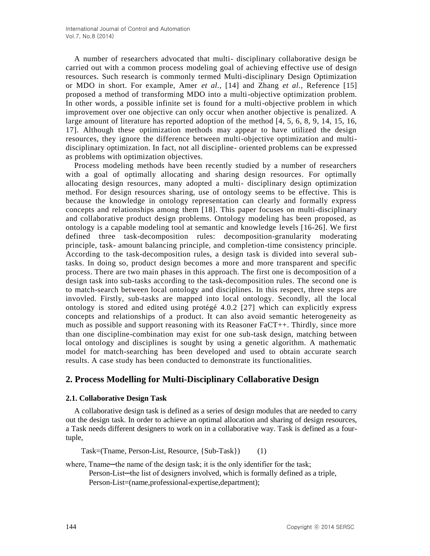A number of researchers advocated that multi- disciplinary collaborative design be carried out with a common process modeling goal of achieving effective use of design resources. Such research is commonly termed Multi-disciplinary Design Optimization or MDO in short. For example, Amer *et al.*, [14] and Zhang *et al.*, Reference [15] proposed a method of transforming MDO into a multi-objective optimization problem. In other words, a possible infinite set is found for a multi-objective problem in which improvement over one objective can only occur when another objective is penalized. A large amount of literature has reported adoption of the method [4, 5, 6, 8, 9, 14, 15, 16, 17]. Although these optimization methods may appear to have utilized the design resources, they ignore the difference between multi-objective optimization and multidisciplinary optimization. In fact, not all discipline- oriented problems can be expressed as problems with optimization objectives.

Process modeling methods have been recently studied by a number of researchers with a goal of optimally allocating and sharing design resources. For optimally allocating design resources, many adopted a multi- disciplinary design optimization method. For design resources sharing, use of ontology seems to be effective. This is because the knowledge in ontology representation can clearly and formally express concepts and relationships among them [18]. This paper focuses on multi-disciplinary and collaborative product design problems. Ontology modeling has been proposed, as ontology is a capable modeling tool at semantic and knowledge levels [16-26]. We first defined three task-decomposition rules: decomposition-granularity moderating principle, task- amount balancing principle, and completion-time consistency principle. According to the task-decomposition rules, a design task is divided into several subtasks. In doing so, product design becomes a more and more transparent and specific process. There are two main phases in this approach. The first one is decomposition of a design task into sub-tasks according to the task-decomposition rules. The second one is to match-search between local ontology and disciplines. In this respect, three steps are invovled. Firstly, sub-tasks are mapped into local ontology. Secondly, all the local ontology is stored and edited using protégé 4.0.2 [27] which can explicitly express concepts and relationships of a product. It can also avoid semantic heterogeneity as much as possible and support reasoning with its Reasoner FaCT++. Thirdly, since more than one discipline-combination may exist for one sub-task design, matching between local ontology and disciplines is sought by using a genetic algorithm. A mathematic model for match-searching has been developed and used to obtain accurate search results. A case study has been conducted to demonstrate its functionalities.

## **2. Process Modelling for Multi-Disciplinary Collaborative Design**

### **2.1. Collaborative Design Task**

A collaborative design task is defined as a series of design modules that are needed to carry out the design task. In order to achieve an optimal allocation and sharing of design resources, a Task needs different designers to work on in a collaborative way. Task is defined as a fourtuple,

Task=(Tname, Person-List, Resource, {Sub-Task}) (1)

where, Thame—the name of the design task; it is the only identifier for the task; Person-List─the list of designers involved, which is formally defined as a triple, Person-List=(name,professional-expertise,department);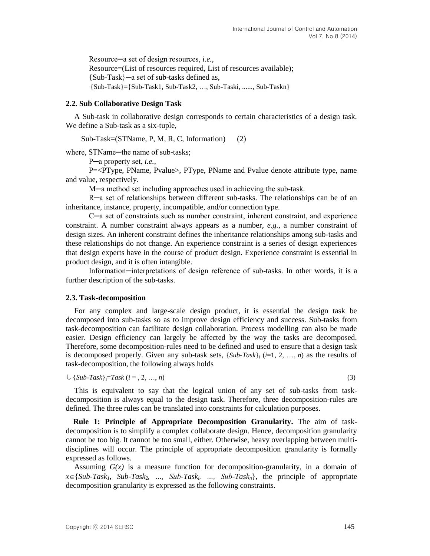Resource─a set of design resources, *i.e.*, Resource=(List of resources required, List of resources available); {Sub-Task}─a set of sub-tasks defined as,  ${Sub-Task}$ = ${Sub-Task1, Sub-Task2, ..., Sub-Taski, ..., Sub-Taskn}$ 

#### **2.2. Sub Collaborative Design Task**

A Sub-task in collaborative design corresponds to certain characteristics of a design task. We define a Sub-task as a six-tuple,

Sub-Task=(STName, P, M, R, C, Information) (2)

where, STName-the name of sub-tasks;

P─a property set, *i.e.*,

P=<PType, PName, Pvalue>, PType, PName and Pvalue denote attribute type, name and value, respectively.

M─a method set including approaches used in achieving the sub-task.

R─a set of relationships between different sub-tasks. The relationships can be of an inheritance, instance, property, incompatible, and/or connection type.

C─a set of constraints such as number constraint, inherent constraint, and experience constraint. A number constraint always appears as a number, *e.g.*, a number constraint of design sizes. An inherent constraint defines the inheritance relationships among sub-tasks and these relationships do not change. An experience constraint is a series of design experiences that design experts have in the course of product design. Experience constraint is essential in product design, and it is often intangible.

Information─interpretations of design reference of sub-tasks. In other words, it is a further description of the sub-tasks.

#### **2.3. Task-decomposition**

For any complex and large-scale design product, it is essential the design task be decomposed into sub-tasks so as to improve design efficiency and success. Sub-tasks from task-decomposition can facilitate design collaboration. Process modelling can also be made easier. Design efficiency can largely be affected by the way the tasks are decomposed. Therefore, some decomposition-rules need to be defined and used to ensure that a design task is decomposed properly. Given any sub-task sets,  ${Sub-Task}_i$  ( $i=1, 2, ..., n$ ) as the results of task-decomposition, the following always holds

 $∪$  {*Sub-Task*} $=$ Task (*i* = , 2, …, *n*) (3)

This is equivalent to say that the logical union of any set of sub-tasks from taskdecomposition is always equal to the design task. Therefore, three decomposition-rules are defined. The three rules can be translated into constraints for calculation purposes.

**Rule 1: Principle of Appropriate Decomposition Granularity.** The aim of taskdecomposition is to simplify a complex collaborate design. Hence, decomposition granularity cannot be too big. It cannot be too small, either. Otherwise, heavy overlapping between multidisciplines will occur. The principle of appropriate decomposition granularity is formally expressed as follows.

Assuming  $G(x)$  is a measure function for decomposition-granularity, in a domain of  $x \in \{Sub\text{-}Task_1, Sub\text{-}Task_2, \ldots, Sub\text{-}Task_i, \ldots, Sub\text{-}Task_n\},\$  the principle of appropriate decomposition granularity is expressed as the following constraints.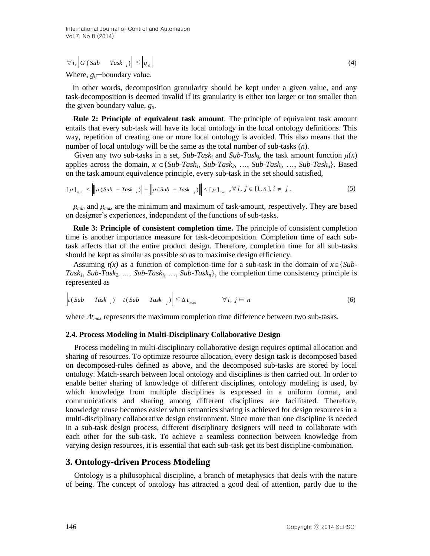$\forall i, \left\| G \left( \textit{Sub} \quad \textit{Task} \right\| \right) \leq \left| g_{0} \right|$ 

(4)

Where,  $g_0$ —boundary value.

In other words, decomposition granularity should be kept under a given value, and any task-decomposition is deemed invalid if its granularity is either too larger or too smaller than the given boundary value, *g0*.

**Rule 2: Principle of equivalent task amount**. The principle of equivalent task amount entails that every sub-task will have its local ontology in the local ontology definitions. This way, repetition of creating one or more local ontology is avoided. This also means that the number of local ontology will be the same as the total number of sub-tasks (*n*).

Given any two sub-tasks in a set,  $Sub-Task_i$  and  $Sub-Task_j$ , the task amount function  $\mu(x)$ applies across the domain,  $x \in \{Sub\text{-}Task_1, Sub\text{-}Task_2, \ldots, Sub\text{-}Task_i, \ldots, Sub\text{-}Task_n\}$ . Based on the task amount equivalence principle, every sub-task in the set should satisfied,

$$
\left[\mu\right]_{\min} \leq \left\|\mu(sub - Task_{i})\right\| - \left\|\mu(sub - Task_{j})\right\| \leq \left[\mu\right]_{\max}, \forall i, j \in [1, n], i \neq j. \tag{5}
$$

 $\mu_{min}$  and  $\mu_{max}$  are the minimum and maximum of task-amount, respectively. They are based on designer's experiences, independent of the functions of sub-tasks.

**Rule 3: Principle of consistent completion time.** The principle of consistent completion time is another importance measure for task-decomposition. Completion time of each subtask affects that of the entire product design. Therefore, completion time for all sub-tasks should be kept as similar as possible so as to maximise design efficiency.

Assuming  $t(x)$  as a function of completion-time for a sub-task in the domain of  $x \in \{Sub$ -*Task<sub>1</sub>*, *Sub-Task<sub>2</sub>*, …, *Sub-Task<sub>i</sub>*, …, *Sub-Task<sub>n</sub>*}, the completion time consistency principle is represented as

$$
\left| t(Sub \quad Task_{i}) \quad t(Sub \quad Task_{j}) \right| \leq \Delta t_{\max} \qquad \forall i, j \in n
$$
 (6)

where  $\Delta t_{max}$  represents the maximum completion time difference between two sub-tasks.

#### **2.4. Process Modeling in Multi-Disciplinary Collaborative Design**

(4)  $V_{\rm L}$ (16 Cos) Task,  $|S| \leq |S|$  shell be learn to the small and the computation of the method, documentation and include the small and the small and the small computed by the method, documentation and influence and Process modeling in multi-disciplinary collaborative design requires optimal allocation and sharing of resources. To optimize resource allocation, every design task is decomposed based on decomposed-rules defined as above, and the decomposed sub-tasks are stored by local ontology. Match-search between local ontology and disciplines is then carried out. In order to enable better sharing of knowledge of different disciplines, ontology modeling is used, by which knowledge from multiple disciplines is expressed in a uniform format, and communications and sharing among different disciplines are facilitated. Therefore, knowledge reuse becomes easier when semantics sharing is achieved for design resources in a multi-disciplinary collaborative design environment. Since more than one discipline is needed in a sub-task design process, different disciplinary designers will need to collaborate with each other for the sub-task. To achieve a seamless connection between knowledge from varying design resources, it is essential that each sub-task get its best discipline-combination.

#### **3. Ontology-driven Process Modeling**

Ontology is a philosophical discipline, a branch of metaphysics that deals with the nature of being. The concept of ontology has attracted a good deal of attention, partly due to the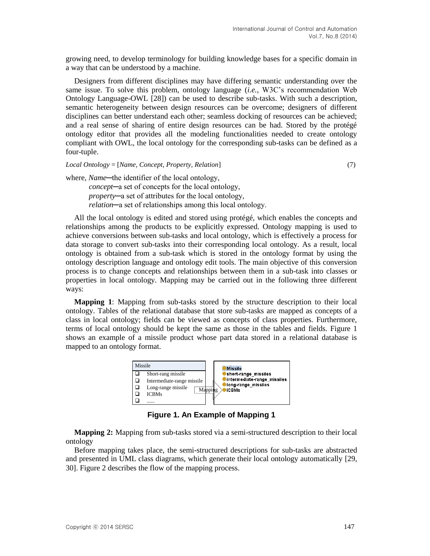growing need, to develop terminology for building knowledge bases for a specific domain in a way that can be understood by a machine.

Designers from different disciplines may have differing semantic understanding over the same issue. To solve this problem, ontology language (*i.e.*, W3C's recommendation Web Ontology Language-OWL [28]) can be used to describe sub-tasks. With such a description, semantic heterogeneity between design resources can be overcome; designers of different disciplines can better understand each other; seamless docking of resources can be achieved; and a real sense of sharing of entire design resources can be had. Stored by the protégé ontology editor that provides all the modeling functionalities needed to create ontology compliant with OWL, the local ontology for the corresponding sub-tasks can be defined as a four-tuple.

*Local Ontology* = [*Name, Concept, Property, Relation*] (7)

where, *Name*—the identifier of the local ontology,

*concept*─a set of concepts for the local ontology, *property*─a set of attributes for the local ontology, *relation*─a set of relationships among this local ontology.

All the local ontology is edited and stored using protégé, which enables the concepts and relationships among the products to be explicitly expressed. Ontology mapping is used to achieve conversions between sub-tasks and local ontology, which is effectively a process for data storage to convert sub-tasks into their corresponding local ontology. As a result, local ontology is obtained from a sub-task which is stored in the ontology format by using the ontology description language and ontology edit tools. The main objective of this conversion process is to change concepts and relationships between them in a sub-task into classes or properties in local ontology. Mapping may be carried out in the following three different ways:

**Mapping 1**: Mapping from sub-tasks stored by the structure description to their local ontology. Tables of the relational database that store sub-tasks are mapped as concepts of a class in local ontology; fields can be viewed as concepts of class properties. Furthermore, terms of local ontology should be kept the same as those in the tables and fields. Figure 1 shows an example of a missile product whose part data stored in a relational database is mapped to an ontology format.



**Figure 1. An Example of Mapping 1**

**Mapping 2:** Mapping from sub-tasks stored via a semi-structured description to their local ontology

Before mapping takes place, the semi-structured descriptions for sub-tasks are abstracted and presented in UML class diagrams, which generate their local ontology automatically [29, 30]. Figure 2 describes the flow of the mapping process.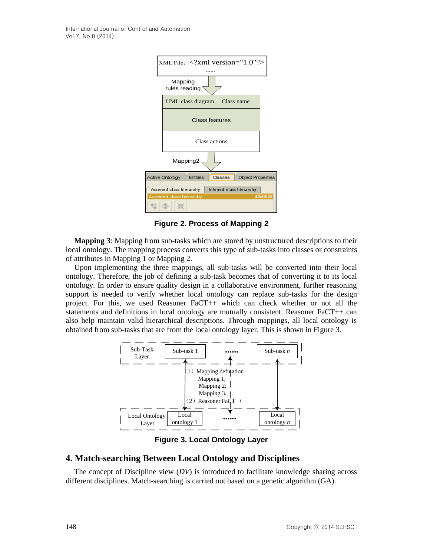| XML File: xml version="1.0"?                         |                            |                   |                       |                   |             |  |  |  |  |  |
|------------------------------------------------------|----------------------------|-------------------|-----------------------|-------------------|-------------|--|--|--|--|--|
|                                                      |                            |                   |                       |                   |             |  |  |  |  |  |
|                                                      | Mapping<br>rules reading s |                   |                       |                   |             |  |  |  |  |  |
|                                                      |                            | UML class diagram | Class name            |                   |             |  |  |  |  |  |
|                                                      |                            |                   | <b>Class features</b> |                   |             |  |  |  |  |  |
|                                                      |                            |                   | Class actions         |                   |             |  |  |  |  |  |
| Mapping2.                                            |                            |                   |                       |                   |             |  |  |  |  |  |
|                                                      | <b>Active Ontology</b>     | <b>Entities</b>   | Classes               | Object Properties |             |  |  |  |  |  |
| Asserted class hierarchy<br>Inferred class hierarchy |                            |                   |                       |                   |             |  |  |  |  |  |
|                                                      | Asserted class hierarchy:  |                   |                       |                   | <b>MB08</b> |  |  |  |  |  |
|                                                      |                            |                   |                       |                   |             |  |  |  |  |  |

**Figure 2. Process of Mapping 2**

**Mapping 3**: Mapping from sub-tasks which are stored by unstructured descriptions to their local ontology. The mapping process converts this type of sub-tasks into classes or constraints of attributes in Mapping 1 or Mapping 2.

Upon implementing the three mappings, all sub-tasks will be converted into their local ontology. Therefore, the job of defining a sub-task becomes that of converting it to its local ontology. In order to ensure quality design in a collaborative environment, further reasoning support is needed to verify whether local ontology can replace sub-tasks for the design project. For this, we used Reasoner FaCT++ which can check whether or not all the statements and definitions in local ontology are mutually consistent. Reasoner FaCT++ can also help maintain valid hierarchical descriptions. Through mappings, all local ontology is obtained from sub-tasks that are from the local ontology layer. This is shown in Figure 3.



**Figure 3. Local Ontology Layer**

## **4. Match-searching Between Local Ontology and Disciplines**

The concept of Discipline view (*DV*) is introduced to facilitate knowledge sharing across different disciplines. Match-searching is carried out based on a genetic algorithm (GA).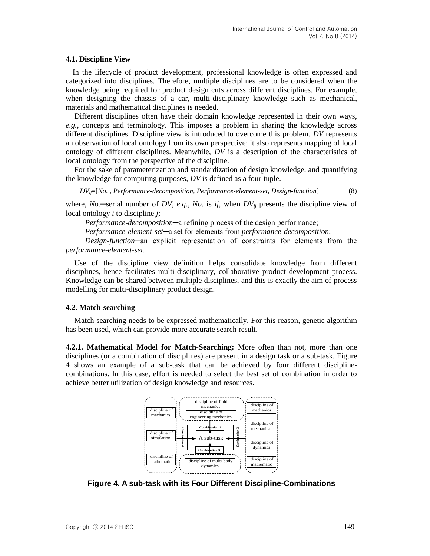#### **4.1. Discipline View**

In the lifecycle of product development, professional knowledge is often expressed and categorized into disciplines. Therefore, multiple disciplines are to be considered when the knowledge being required for product design cuts across different disciplines. For example, when designing the chassis of a car, multi-disciplinary knowledge such as mechanical, materials and mathematical disciplines is needed.

Different disciplines often have their domain knowledge represented in their own ways, *e.g.*, concepts and terminology. This imposes a problem in sharing the knowledge across different disciplines. Discipline view is introduced to overcome this problem. *DV* represents an observation of local ontology from its own perspective; it also represents mapping of local ontology of different disciplines. Meanwhile, *DV* is a description of the characteristics of local ontology from the perspective of the discipline.

For the sake of parameterization and standardization of design knowledge, and quantifying the knowledge for computing purposes, *DV* is defined as a four-tuple.

*DVij*=[*No. , Performance-decomposition, Performance-element-set, Design-function*] (8)

where, *No*.─serial number of *DV*, *e.g.*, *No*. is *ij*, when *DVij* presents the discipline view of local ontology *i* to discipline *j*;

*Performance-decomposition*─a refining process of the design performance;

*Performance-element-set*─a set for elements from *performance-decomposition*;

*Design-function*─an explicit representation of constraints for elements from the *performance-element-set*.

Use of the discipline view definition helps consolidate knowledge from different disciplines, hence facilitates multi-disciplinary, collaborative product development process. Knowledge can be shared between multiple disciplines, and this is exactly the aim of process modelling for multi-disciplinary product design.

#### **4.2. Match-searching**

Match-searching needs to be expressed mathematically. For this reason, genetic algorithm has been used, which can provide more accurate search result.

**4.2.1. Mathematical Model for Match-Searching:** More often than not, more than one disciplines (or a combination of disciplines) are present in a design task or a sub-task. Figure 4 shows an example of a sub-task that can be achieved by four different disciplinecombinations. In this case, effort is needed to select the best set of combination in order to achieve better utilization of design knowledge and resources.



**Figure 4. A sub-task with its Four Different Discipline-Combinations**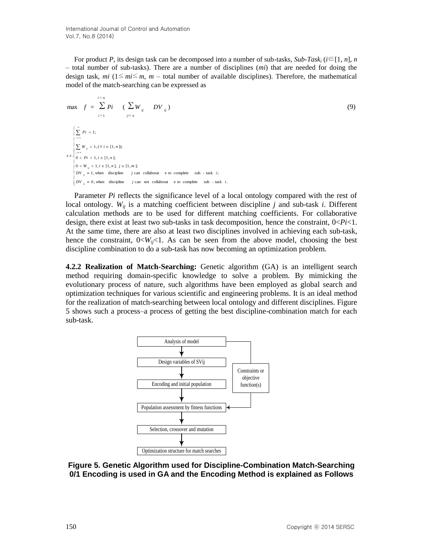For product *P*, its design task can be decomposed into a number of sub-tasks, *Sub-Task<sub>i</sub>* ( $i \in [1, n]$ , *n* – total number of sub-tasks). There are a number of disciplines (*mi*) that are needed for doing the design task, *mi* ( $1 \leq m \leq m$ , *m* – total number of available disciplines). Therefore, the mathematical model of the match-searching can be expressed as

$$
\max f = \sum_{i=1}^{i=n} P_i \quad (\sum_{j \in n} W_{ij} \quad DV_{ij})
$$
\n
$$
\begin{cases}\n\sum_{i=1}^{n} P_i = 1; \\
\sum_{i=1}^{i=1} W_{ij} = 1, (\forall i \in [1, n]); \\
\sum_{j \in n} W_{ij} = 1, (\forall i \in [1, n]); \\
0 < P_i < 1, i \in [1, n], j \in [1, m]; \\
0 < W_{ij} < 1, i \in [1, n], j \in [1, m]; \\
DV_{ij} = 1, \text{when discipline } j \text{ can collaborat } \text{eto complete sub - task } i; \\
DV_{ij} = 0, \text{when discipline } j \text{ can not collaborat } \text{eto complete sub - task } i.\n\end{cases}
$$
\n(9)

Parameter *Pi* reflects the significance level of a local ontology compared with the rest of local ontology.  $W_{ij}$  is a matching coefficient between discipline *j* and sub-task *i*. Different calculation methods are to be used for different matching coefficients. For collaborative design, there exist at least two sub-tasks in task decomposition, hence the constraint, 0<*Pi*<1. At the same time, there are also at least two disciplines involved in achieving each sub-task, hence the constraint,  $0 \lt W_{ii} \lt 1$ . As can be seen from the above model, choosing the best discipline combination to do a sub-task has now becoming an optimization problem.

**4.2.2 Realization of Match-Searching:** Genetic algorithm (GA) is an intelligent search method requiring domain-specific knowledge to solve a problem. By mimicking the evolutionary process of nature, such algorithms have been employed as global search and optimization techniques for various scientific and engineering problems. It is an ideal method for the realization of match-searching between local ontology and different disciplines. Figure 5 shows such a process–a process of getting the best discipline-combination match for each sub-task.



## **Figure 5. Genetic Algorithm used for Discipline-Combination Match-Searching 0/1 Encoding is used in GA and the Encoding Method is explained as Follows**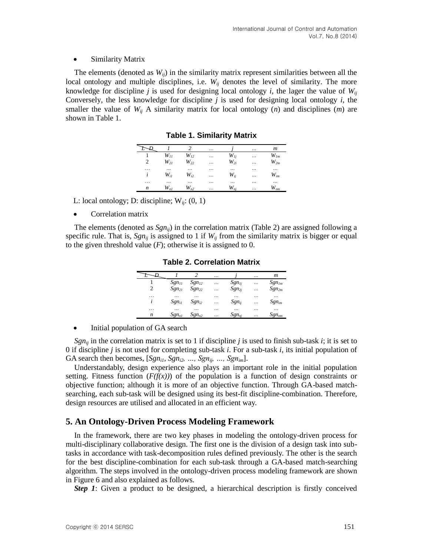#### • Similarity Matrix

The elements (denoted as  $W_{ij}$ ) in the similarity matrix represent similarities between all the local ontology and multiple disciplines, i.e.  $W_{ij}$  denotes the level of similarity. The more knowledge for discipline *j* is used for designing local ontology *i*, the lager the value of  $W_{ij}$ Conversely, the less knowledge for discipline *j* is used for designing local ontology *i*, the smaller the value of  $W_{ij}$  A similarity matrix for local ontology  $(n)$  and disciplines  $(m)$  are shown in Table 1.

|                |          |          |   |          |           | $\boldsymbol{m}$ |
|----------------|----------|----------|---|----------|-----------|------------------|
|                | $W_{II}$ | $W_{12}$ |   | $W_{Ii}$ |           | $W_{lm}$         |
| $\overline{2}$ | $W_{2I}$ | $W_{22}$ | . | $W_{2i}$ |           | $W_{2m}$         |
| .              | $\cdots$ | $\cdots$ |   | $\cdots$ |           |                  |
| i              | $W_{iI}$ | $W_{i2}$ |   | $W_{ij}$ |           | $W_{im}$         |
| .              | $\cdots$ | $\cdots$ |   |          |           |                  |
| n              | $W_{nl}$ | $W_{n2}$ |   | $W_{ni}$ | $\ddotsc$ | $W_{nm}$         |

**Table 1. Similarity Matrix**

L: local ontology; D: discipline;  $W_{ii}$ : (0, 1)

• Correlation matrix

The elements (denoted as *Sgnij*) in the correlation matrix (Table 2) are assigned following a specific rule. That is,  $Sgn_{ii}$  is assigned to 1 if  $W_{ii}$  from the similarity matrix is bigger or equal to the given threshold value  $(F)$ ; otherwise it is assigned to 0.

|                |                   |                   |           |            |           | $\boldsymbol{m}$ |
|----------------|-------------------|-------------------|-----------|------------|-----------|------------------|
|                | $Sgn_{II}$        | Sgn <sub>12</sub> |           | $Sgn_{1i}$ |           | $Sgn_{Im}$       |
| $\overline{c}$ | Sgn <sub>21</sub> | Sgn <sub>22</sub> |           | $Sgn_{2i}$ |           | $Sgn_{2m}$       |
| .              | $\ddotsc$         | $\ddotsc$         | $\ddotsc$ | $\ddotsc$  | $\ddotsc$ | .                |
| i              | $Sgn_{iI}$        | Sgn <sub>i2</sub> |           | $Sgn_{ij}$ |           | $Sgn_{im}$       |
| .              |                   |                   | $\ddotsc$ |            |           |                  |
| n              | $Sgn_{nl}$        | $Sgn_{n2}$        |           | $Sgn_{ni}$ |           | $Sgn_{nm}$       |

**Table 2. Correlation Matrix**

• Initial population of GA search

*Sgn<sub>ij</sub>* in the correlation matrix is set to 1 if discipline *j* is used to finish sub-task *i*; it is set to 0 if discipline *j* is not used for completing sub-task *i*. For a sub-task *i*, its initial population of GA search then becomes,  $[Sgn_{il}, Sgn_{il}, \ldots, Sgn_{ij}, \ldots, Sgn_{im}].$ 

Understandably, design experience also plays an important role in the initial population setting. Fitness function  $(F(f(x)))$  of the population is a function of design constraints or objective function; although it is more of an objective function. Through GA-based matchsearching, each sub-task will be designed using its best-fit discipline-combination. Therefore, design resources are utilised and allocated in an efficient way.

## **5. An Ontology-Driven Process Modeling Framework**

In the framework, there are two key phases in modeling the ontology-driven process for multi-disciplinary collaborative design. The first one is the division of a design task into subtasks in accordance with task-decomposition rules defined previously. The other is the search for the best discipline-combination for each sub-task through a GA-based match-searching algorithm. The steps involved in the ontology-driven process modeling framework are shown in Figure 6 and also explained as follows.

*Step 1*: Given a product to be designed, a hierarchical description is firstly conceived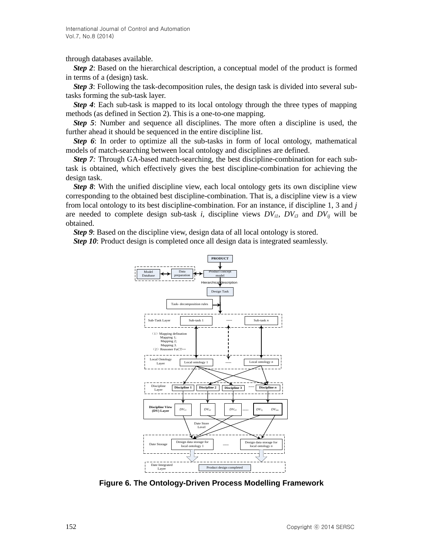through databases available.

*Step 2*: Based on the hierarchical description, a conceptual model of the product is formed in terms of a (design) task.

*Step 3*: Following the task-decomposition rules, the design task is divided into several subtasks forming the sub-task layer.

*Step 4*: Each sub-task is mapped to its local ontology through the three types of mapping methods (as defined in Section 2). This is a one-to-one mapping.

*Step 5*: Number and sequence all disciplines. The more often a discipline is used, the further ahead it should be sequenced in the entire discipline list.

*Step 6*: In order to optimize all the sub-tasks in form of local ontology, mathematical models of match-searching between local ontology and disciplines are defined.

*Step 7:* Through GA-based match-searching, the best discipline-combination for each subtask is obtained, which effectively gives the best discipline-combination for achieving the design task.

*Step 8*: With the unified discipline view, each local ontology gets its own discipline view corresponding to the obtained best discipline-combination. That is, a discipline view is a view from local ontology to its best discipline-combination. For an instance, if discipline 1, 3 and *j* are needed to complete design sub-task *i*, discipline views  $DV_{ii}$ ,  $DV_{i3}$  and  $DV_{ii}$  will be obtained.

*Step 9*: Based on the discipline view, design data of all local ontology is stored.

*Step 10*: Product design is completed once all design data is integrated seamlessly.



**Figure 6. The Ontology-Driven Process Modelling Framework**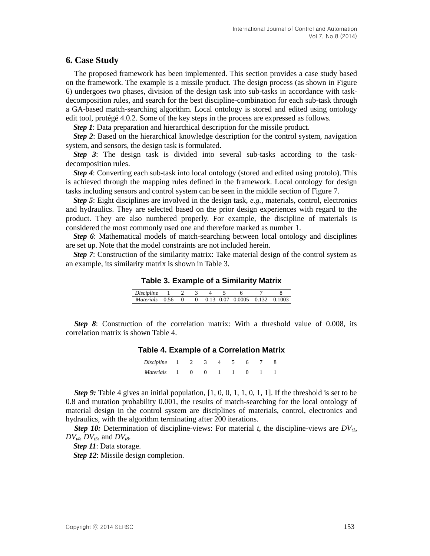### **6. Case Study**

The proposed framework has been implemented. This section provides a case study based on the framework. The example is a missile product. The design process (as shown in Figure 6) undergoes two phases, division of the design task into sub-tasks in accordance with taskdecomposition rules, and search for the best discipline-combination for each sub-task through a GA-based match-searching algorithm. Local ontology is stored and edited using ontology edit tool, protégé 4.0.2. Some of the key steps in the process are expressed as follows.

*Step 1*: Data preparation and hierarchical description for the missile product.

*Step 2*: Based on the hierarchical knowledge description for the control system, navigation system, and sensors, the design task is formulated.

*Step 3*: The design task is divided into several sub-tasks according to the taskdecomposition rules.

*Step 4*: Converting each sub-task into local ontology (stored and edited using protolo). This is achieved through the mapping rules defined in the framework. Local ontology for design tasks including sensors and control system can be seen in the middle section of Figure 7.

*Step 5*: Eight disciplines are involved in the design task, *e.g.*, materials, control, electronics and hydraulics. They are selected based on the prior design experiences with regard to the product. They are also numbered properly. For example, the discipline of materials is considered the most commonly used one and therefore marked as number 1.

*Step 6*: Mathematical models of match-searching between local ontology and disciplines are set up. Note that the model constraints are not included herein.

*Step 7*: Construction of the similarity matrix: Take material design of the control system as an example, its similarity matrix is shown in Table 3.

**Table 3. Example of a Similarity Matrix**

| Discipline |  |  |                                          |  |
|------------|--|--|------------------------------------------|--|
| Materials  |  |  | $0.56$ 0 0 0.13 0.07 0.0005 0.132 0.1003 |  |
|            |  |  |                                          |  |

*Step 8*: Construction of the correlation matrix: With a threshold value of 0.008, its correlation matrix is shown Table 4.

| ----              | __ | . .<br>__ |  | . | __ |
|-------------------|----|-----------|--|---|----|
| <b>Discipline</b> |    |           |  |   |    |
| <b>Materials</b>  |    |           |  |   |    |

**Table 4. Example of a Correlation Matrix**

*Step 9:* Table 4 gives an initial population, [1, 0, 0, 1, 1, 0, 1, 1]. If the threshold is set to be 0.8 and mutation probability 0.001, the results of match-searching for the local ontology of material design in the control system are disciplines of materials, control, electronics and hydraulics, with the algorithm terminating after 200 iterations.

*Step 10:* Determination of discipline-views: For material *t*, the discipline-views are  $DV_{t}$ ,  $DV_{t4}$ ,  $DV_{t5}$ , and  $DV_{t8}$ .

*Step 11*: Data storage.

*Step 12*: Missile design completion.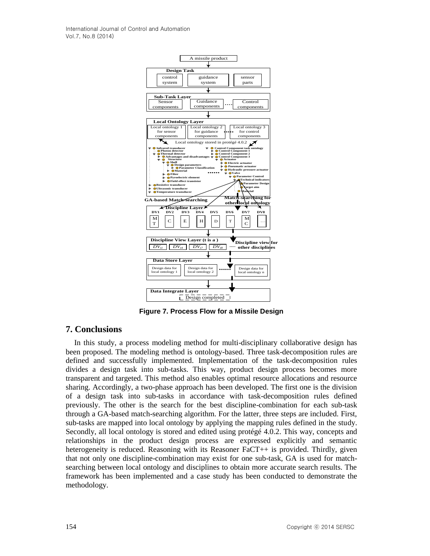

**Figure 7. Process Flow for a Missile Design**

## **7. Conclusions**

In this study, a process modeling method for multi-disciplinary collaborative design has been proposed. The modeling method is ontology-based. Three task-decomposition rules are defined and successfully implemented. Implementation of the task-decomposition rules divides a design task into sub-tasks. This way, product design process becomes more transparent and targeted. This method also enables optimal resource allocations and resource sharing. Accordingly, a two-phase approach has been developed. The first one is the division of a design task into sub-tasks in accordance with task-decomposition rules defined previously. The other is the search for the best discipline-combination for each sub-task through a GA-based match-searching algorithm. For the latter, three steps are included. First, sub-tasks are mapped into local ontology by applying the mapping rules defined in the study. Secondly, all local ontology is stored and edited using protégé 4.0.2. This way, concepts and relationships in the product design process are expressed explicitly and semantic heterogeneity is reduced. Reasoning with its Reasoner FaCT++ is provided. Thirdly, given that not only one discipline-combination may exist for one sub-task, GA is used for matchsearching between local ontology and disciplines to obtain more accurate search results. The framework has been implemented and a case study has been conducted to demonstrate the methodology.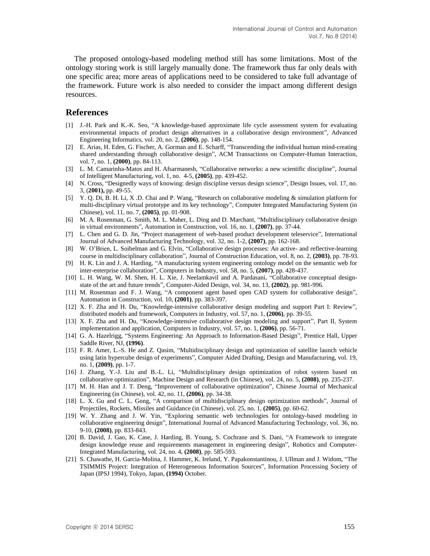The proposed ontology-based modeling method still has some limitations. Most of the ontology storing work is still largely manually done. The framework thus far only deals with one specific area; more areas of applications need to be considered to take full advantage of the framework. Future work is also needed to consider the impact among different design resources.

## **References**

- [1] J.-H. Park and K.-K. Seo, "A knowledge-based approximate life cycle assessment system for evaluating environmental impacts of product design alternatives in a collaborative design environment", Advanced Engineering Informatics, vol. 20, no. 2, **(2006)**, pp. 148-154.
- [2] E. Arias, H. Eden, G. Fischer, A. Gorman and E. Scharff, "Transcending the individual human mind-creating shared understanding through collaborative design", ACM Transactions on Computer-Human Interaction, vol. 7, no. 1, **(2000)**, pp. 84-113.
- [3] L. M. Camarinha-Matos and H. Afsarmanesh, "Collaborative networks: a new scientific discipline", Journal of Intelligent Manufacturing, vol. 1, no. 4-5, **(2005)**, pp. 439-452.
- [4] N. Cross, "Designedly ways of knowing: design discipline versus design science", Design Issues, vol. 17, no. 3, (**2001),** pp. 49-55.
- [5] Y. Q. Di, B. H. Li, X .D. Chai and P. Wang, "Research on collaborative modeling & simulation platform for multi-disciplinary virtual prototype and its key technology", Computer Integrated Manufacturing System (in Chinese), vol. 11, no. 7, **(2005)**, pp. 01-908.
- [6] M. A. Rosenman, G. Smith, M. L. Maher, L. Ding and D. Marchant, "Multidisciplinary collaborative design in virtual environments", Automation in Construction, vol. 16, no. 1, **(2007)**, pp. 37-44.
- [7] L. Chen and G. D. Jin, "Project management of web-based product development teleservice", International Journal of Advanced Manufacturing Technology, vol. 32, no. 1-2, **(2007)**, pp. 162-168.
- [8] W. O'Brien, L. Soibelman and G. Elvin, "Collaborative design processes: An active- and reflective-learning course in multidisciplinary collaboration", Journal of Construction Education, vol. 8, no. 2, **(2003)**, pp. 78-93.
- [9] H. K. Lin and J. A. Harding, "A manufacturing system engineering ontology model on the semantic web for inter-enterprise collaboration", Computers in Industry, vol. 58, no. 5, **(2007)**, pp. 428-437.
- [10] L. H. Wang, W. M. Shen, H. L. Xie, J. Neelamkavil and A. Pardasani, "Collaborative conceptual designstate of the art and future trends", Computer-Aided Design, vol. 34, no. 13, **(2002)**, pp. 981-996.
- [11] M. Rosenman and F. J. Wang, "A component agent based open CAD system for collaborative design", Automation in Construction, vol. 10, **(2001)**, pp. 383-397.
- [12] X. F. Zha and H. Du, "Knowledge-intensive collaborative design modeling and support Part I: Review", distributed models and framework, Computers in Industry, vol. 57, no. 1, **(2006)**, pp. 39-55.
- [13] X. F. Zha and H. Du, "Knowledge-intensive collaborative design modeling and support", Part II, System implementation and application, Computers in Industry, vol. 57, no. 1, **(2006)**, pp. 56-71.
- [14] G. A. Hazelrigg, "Systems Engineering: An Approach to Information-Based Design", Prentice Hall, Upper Saddle River, NJ, **(1996)**.
- [15] F. R. Amer, L.-S. He and Z. Qasim, "Multidisciplinary design and optimization of satellite launch vehicle using latin hypercube design of experiments", Computer Aided Drafting, Design and Manufacturing, vol. 19, no. 1, **(2009)**, pp. 1-7.
- [16] J. Zhang, Y.-J. Liu and B.-L. Li, "Multidisciplinary design optimization of robot system based on collaborative optimization", Machine Design and Research (in Chinese), vol. 24, no. 5, **(2008)**, pp. 235-237.
- [17] M. H. Han and J. T. Deng, "Improvement of collaborative optimization", Chinese Journal of Mechanical Engineering (in Chinese), vol. 42, no. 11, **(2006)**, pp. 34-38.
- [18] L. X. Gu and C. L. Gong, "A comparison of multidisciplinary design optimization methods", Journal of Projectiles, Rockets, Missiles and Guidance (in Chinese), vol. 25, no. 1, **(2005)**, pp. 60-62.
- [19] W. Y. Zhang and J. W. Yin, "Exploring semantic web technologies for ontology-based modeling in collaborative engineering design", International Journal of Advanced Manufacturing Technology, vol. 36, no. 9-10, **(2008)**, pp. 833-843.
- [20] B. David, J. Gao, K. Case, J. Harding, B. Young, S. Cochrane and S. Dani, "A Framework to integrate design knowledge reuse and requirements management in engineering design", Robotics and Computer-Integrated Manufacturing, vol. 24, no. 4, **(2008)**, pp. 585-593.
- [21] S. Chawathe, H. Garcia-Molina, J. Hammer, K. Ireland, Y. Papakonstantinou, J. Ullman and J. Widom, "The TSIMMIS Project: Integration of Heterogeneous Information Sources", Information Processing Society of Japan (IPSJ 1994), Tokyo, Japan, **(1994)** October.